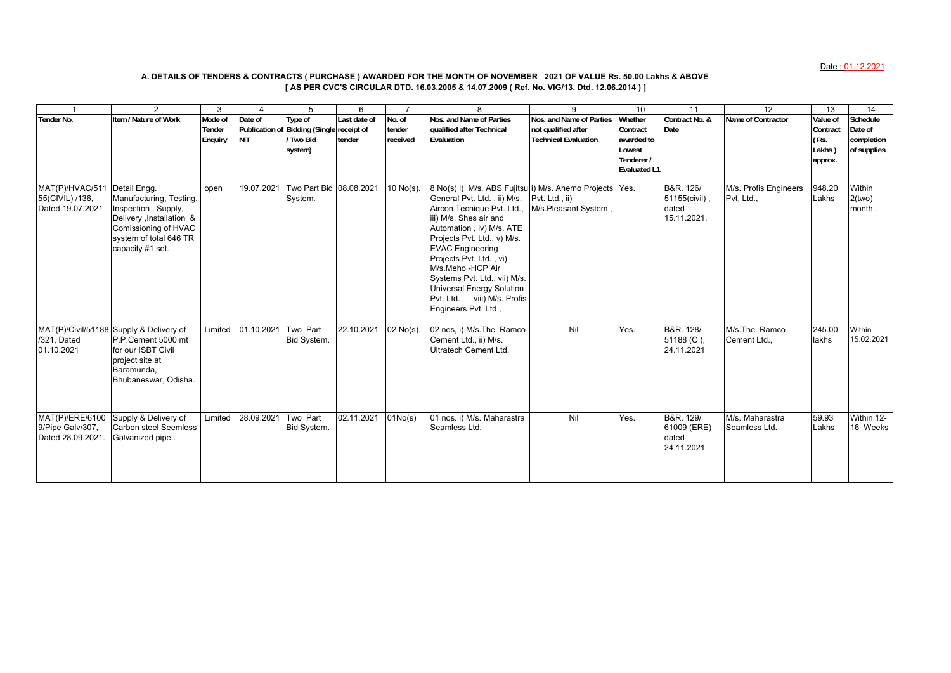Date : 01.12.2021

## **[ AS PER CVC'S CIRCULAR DTD. 16.03.2005 & 14.07.2009 ( Ref. No. VIG/13, Dtd. 12.06.2014 ) ] A. DETAILS OF TENDERS & CONTRACTS ( PURCHASE ) AWARDED FOR THE MONTH OF NOVEMBER 2021 OF VALUE Rs. 50.00 Lakhs & ABOVE**

|                                                                     | 2                                                                                                                                                 | 3                            | 4                     | 5                                                                          | 6                      | $\overline{7}$               | 8                                                                                                                                                                                                                                                                                                                                                                                                               | 9                                                                       | 10                                                                               | 11                                                 | 12                                  | 13                                                | 14                                               |
|---------------------------------------------------------------------|---------------------------------------------------------------------------------------------------------------------------------------------------|------------------------------|-----------------------|----------------------------------------------------------------------------|------------------------|------------------------------|-----------------------------------------------------------------------------------------------------------------------------------------------------------------------------------------------------------------------------------------------------------------------------------------------------------------------------------------------------------------------------------------------------------------|-------------------------------------------------------------------------|----------------------------------------------------------------------------------|----------------------------------------------------|-------------------------------------|---------------------------------------------------|--------------------------------------------------|
| Tender No.                                                          | Item / Nature of Work                                                                                                                             | Mode of<br>Tender<br>Enquiry | Date of<br><b>NIT</b> | Type of<br>Publication of Bidding (Single receipt of<br>Two Bid<br>system) | Last date of<br>tender | No. of<br>tender<br>received | Nos. and Name of Parties<br>qualified after Technical<br>Evaluation                                                                                                                                                                                                                                                                                                                                             | Nos. and Name of Parties<br>not qualified after<br>Technical Evaluation | Whether<br>Contract<br>awarded to<br>Lowest<br>Tenderer /<br><b>Evaluated L1</b> | Contract No. &<br>Date                             | Name of Contractor                  | Value of<br>Contract<br>(Rs.<br>Lakhs)<br>approx. | Schedule<br>Date of<br>completion<br>of supplies |
| MAT(P)/HVAC/511 Detail Engg.<br>55(CIVIL) /136,<br>Dated 19.07.2021 | Manufacturing, Testing,<br>Inspection, Supply,<br>Delivery , Installation &<br>Comissioning of HVAC<br>system of total 646 TR<br>capacity #1 set. | open                         |                       | 19.07.2021 Two Part Bid 08.08.2021<br>System.                              |                        | 10 No(s).                    | 8 No(s) i) M/s. ABS Fujitsu i) M/s. Anemo Projects Yes.<br>General Pvt. Ltd., ii) M/s.<br>Aircon Tecnique Pvt. Ltd.,<br>iii) M/s. Shes air and<br>Automation, iv) M/s. ATE<br>Projects Pvt. Ltd., v) M/s.<br><b>EVAC Engineering</b><br>Projects Pvt. Ltd., vi)<br>M/s.Meho -HCP Air<br>Systems Pvt. Ltd., vii) M/s.<br><b>Universal Energy Solution</b><br>Pvt. Ltd. viii) M/s. Profis<br>Engineers Pvt. Ltd., | Pvt. Ltd., ii)<br>M/s.Pleasant System,                                  |                                                                                  | B&R. 126/<br>51155(civil),<br>dated<br>15.11.2021. | M/s. Profis Engineers<br>Pvt. Ltd., | 948.20<br>Lakhs                                   | Within<br>2(two)<br>month.                       |
| /321, Dated<br>01.10.2021                                           | MAT(P)/Civil/51188 Supply & Delivery of<br>P.P.Cement 5000 mt<br>for our ISBT Civil<br>project site at<br>Baramunda,<br>Bhubaneswar, Odisha.      | Limited                      | 01.10.2021            | Two Part<br>Bid System.                                                    | 22.10.2021             | 02 No(s).                    | 02 nos, i) M/s. The Ramco<br>Cement Ltd., ii) M/s.<br>Ultratech Cement Ltd.                                                                                                                                                                                                                                                                                                                                     | Nil                                                                     | Yes.                                                                             | B&R. 128/<br>51188 (C),<br>24.11.2021              | M/s.The Ramco<br>Cement Ltd.,       | 245.00<br>lakhs                                   | Within<br>15.02.2021                             |
| MAT(P)/ERE/6100<br>9/Pipe Galv/307,<br>Dated 28.09.2021.            | Supply & Delivery of<br><b>Carbon steel Seemless</b><br>Galvanized pipe.                                                                          | Limited                      | 28.09.2021            | Two Part<br>Bid System.                                                    | 02.11.2021             | 01No(s)                      | 01 nos. i) M/s. Maharastra<br>Seamless Ltd.                                                                                                                                                                                                                                                                                                                                                                     | Nil                                                                     | Yes.                                                                             | B&R. 129/<br>61009 (ERE)<br>dated<br>24.11.2021    | M/s. Maharastra<br>Seamless Ltd.    | 59.93<br>Lakhs                                    | Within 12-<br>16 Weeks                           |